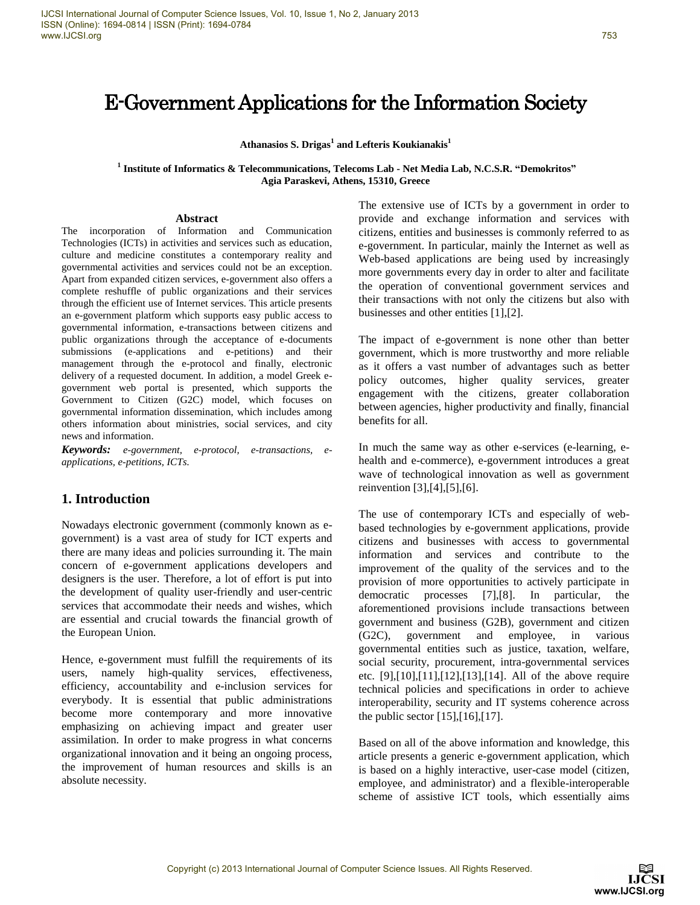753

# E-Government Applications for the Information Society

**Athanasios S. Drigas<sup>1</sup> and Lefteris Koukianakis<sup>1</sup>**

**1 Institute of Informatics & Telecommunications, Telecoms Lab - Net Media Lab, N.C.S.R. "Demokritos" Agia Paraskevi, Athens, 15310, Greece**

#### **Abstract**

The incorporation of Information and Communication Technologies (ICTs) in activities and services such as education, culture and medicine constitutes a contemporary reality and governmental activities and services could not be an exception. Apart from expanded citizen services, e-government also offers a complete reshuffle of public organizations and their services through the efficient use of Internet services. This article presents an e-government platform which supports easy public access to governmental information, e-transactions between citizens and public organizations through the acceptance of e-documents submissions (e-applications and e-petitions) and their management through the e-protocol and finally, electronic delivery of a requested document. In addition, a model Greek egovernment web portal is presented, which supports the Government to Citizen (G2C) model, which focuses on governmental information dissemination, which includes among others information about ministries, social services, and city news and information.

*Keywords: e-government, e-protocol, e-transactions, eapplications, e-petitions, ICTs.*

# **1. Introduction**

Nowadays electronic government (commonly known as egovernment) is a vast area of study for ICT experts and there are many ideas and policies surrounding it. The main concern of e-government applications developers and designers is the user. Therefore, a lot of effort is put into the development of quality user-friendly and user-centric services that accommodate their needs and wishes, which are essential and crucial towards the financial growth of the European Union.

Hence, e-government must fulfill the requirements of its users, namely high-quality services, effectiveness, efficiency, accountability and e-inclusion services for everybody. It is essential that public administrations become more contemporary and more innovative emphasizing on achieving impact and greater user assimilation. In order to make progress in what concerns organizational innovation and it being an ongoing process, the improvement of human resources and skills is an absolute necessity.

The extensive use of ICTs by a government in order to provide and exchange information and services with citizens, entities and businesses is commonly referred to as e-government. In particular, mainly the Internet as well as Web-based applications are being used by increasingly more governments every day in order to alter and facilitate the operation of conventional government services and their transactions with not only the citizens but also with businesses and other entities [1],[2].

The impact of e-government is none other than better government, which is more trustworthy and more reliable as it offers a vast number of advantages such as better policy outcomes, higher quality services, greater engagement with the citizens, greater collaboration between agencies, higher productivity and finally, financial benefits for all.

In much the same way as other e-services (e-learning, ehealth and e-commerce), e-government introduces a great wave of technological innovation as well as government reinvention [3],[4],[5],[6].

The use of contemporary ICTs and especially of webbased technologies by e-government applications, provide citizens and businesses with access to governmental information and services and contribute to the improvement of the quality of the services and to the provision of more opportunities to actively participate in democratic processes [7],[8]. In particular, the aforementioned provisions include transactions between government and business (G2B), government and citizen (G2C), government and employee, in various governmental entities such as justice, taxation, welfare, social security, procurement, intra-governmental services etc. [9],[10],[11],[12],[13],[14]. All of the above require technical policies and specifications in order to achieve interoperability, security and IT systems coherence across the public sector  $[15]$ , $[16]$ , $[17]$ .

Based on all of the above information and knowledge, this article presents a generic e-government application, which is based on a highly interactive, user-case model (citizen, employee, and administrator) and a flexible-interoperable scheme of assistive ICT tools, which essentially aims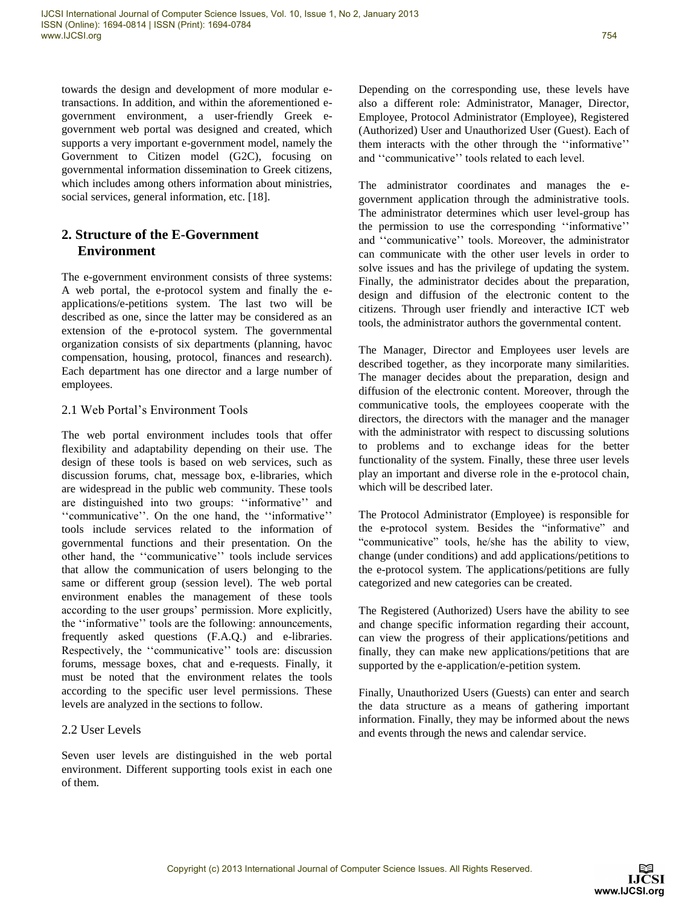towards the design and development of more modular etransactions. In addition, and within the aforementioned egovernment environment, a user-friendly Greek egovernment web portal was designed and created, which supports a very important e-government model, namely the Government to Citizen model (G2C), focusing on governmental information dissemination to Greek citizens, which includes among others information about ministries, social services, general information, etc. [18].

# **2. Structure of the E-Government Environment**

The e-government environment consists of three systems: A web portal, the e-protocol system and finally the eapplications/e-petitions system. The last two will be described as one, since the latter may be considered as an extension of the e-protocol system. The governmental organization consists of six departments (planning, havoc compensation, housing, protocol, finances and research). Each department has one director and a large number of employees.

#### 2.1 Web Portal's Environment Tools

The web portal environment includes tools that offer flexibility and adaptability depending on their use. The design of these tools is based on web services, such as discussion forums, chat, message box, e-libraries, which are widespread in the public web community. These tools are distinguished into two groups: ''informative'' and ''communicative''. On the one hand, the ''informative'' tools include services related to the information of governmental functions and their presentation. On the other hand, the ''communicative'' tools include services that allow the communication of users belonging to the same or different group (session level). The web portal environment enables the management of these tools according to the user groups' permission. More explicitly, the ''informative'' tools are the following: announcements, frequently asked questions (F.A.Q.) and e-libraries. Respectively, the ''communicative'' tools are: discussion forums, message boxes, chat and e-requests. Finally, it must be noted that the environment relates the tools according to the specific user level permissions. These levels are analyzed in the sections to follow.

#### 2.2 User Levels

Seven user levels are distinguished in the web portal environment. Different supporting tools exist in each one of them.

Depending on the corresponding use, these levels have also a different role: Administrator, Manager, Director, Employee, Protocol Administrator (Employee), Registered (Authorized) User and Unauthorized User (Guest). Each of them interacts with the other through the ''informative'' and ''communicative'' tools related to each level.

The administrator coordinates and manages the egovernment application through the administrative tools. The administrator determines which user level-group has the permission to use the corresponding ''informative'' and ''communicative'' tools. Moreover, the administrator can communicate with the other user levels in order to solve issues and has the privilege of updating the system. Finally, the administrator decides about the preparation, design and diffusion of the electronic content to the citizens. Through user friendly and interactive ICT web tools, the administrator authors the governmental content.

The Manager, Director and Employees user levels are described together, as they incorporate many similarities. The manager decides about the preparation, design and diffusion of the electronic content. Moreover, through the communicative tools, the employees cooperate with the directors, the directors with the manager and the manager with the administrator with respect to discussing solutions to problems and to exchange ideas for the better functionality of the system. Finally, these three user levels play an important and diverse role in the e-protocol chain, which will be described later.

The Protocol Administrator (Employee) is responsible for the e-protocol system. Besides the "informative" and "communicative" tools, he/she has the ability to view, change (under conditions) and add applications/petitions to the e-protocol system. The applications/petitions are fully categorized and new categories can be created.

The Registered (Authorized) Users have the ability to see and change specific information regarding their account, can view the progress of their applications/petitions and finally, they can make new applications/petitions that are supported by the e-application/e-petition system.

Finally, Unauthorized Users (Guests) can enter and search the data structure as a means of gathering important information. Finally, they may be informed about the news and events through the news and calendar service.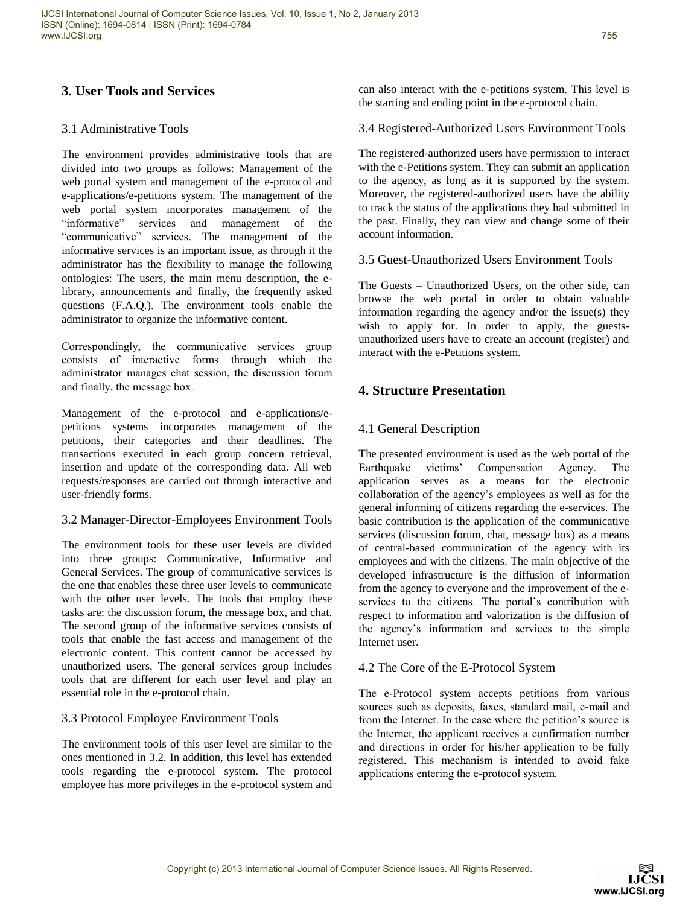# **3. User Tools and Services**

### 3.1 Administrative Tools

The environment provides administrative tools that are divided into two groups as follows: Management of the web portal system and management of the e-protocol and e-applications/e-petitions system. The management of the web portal system incorporates management of the "informative" services and management of the "communicative" services. The management of the informative services is an important issue, as through it the administrator has the flexibility to manage the following ontologies: The users, the main menu description, the elibrary, announcements and finally, the frequently asked questions (F.A.Q.). The environment tools enable the administrator to organize the informative content.

Correspondingly, the communicative services group consists of interactive forms through which the administrator manages chat session, the discussion forum and finally, the message box.

Management of the e-protocol and e-applications/epetitions systems incorporates management of the petitions, their categories and their deadlines. The transactions executed in each group concern retrieval, insertion and update of the corresponding data. All web requests/responses are carried out through interactive and user-friendly forms.

#### 3.2 Manager-Director-Employees Environment Tools

The environment tools for these user levels are divided into three groups: Communicative, Informative and General Services. The group of communicative services is the one that enables these three user levels to communicate with the other user levels. The tools that employ these tasks are: the discussion forum, the message box, and chat. The second group of the informative services consists of tools that enable the fast access and management of the electronic content. This content cannot be accessed by unauthorized users. The general services group includes tools that are different for each user level and play an essential role in the e-protocol chain.

#### 3.3 Protocol Employee Environment Tools

The environment tools of this user level are similar to the ones mentioned in 3.2. In addition, this level has extended tools regarding the e-protocol system. The protocol employee has more privileges in the e-protocol system and can also interact with the e-petitions system. This level is the starting and ending point in the e-protocol chain.

#### 3.4 Registered-Authorized Users Environment Tools

The registered-authorized users have permission to interact with the e-Petitions system. They can submit an application to the agency, as long as it is supported by the system. Moreover, the registered-authorized users have the ability to track the status of the applications they had submitted in the past. Finally, they can view and change some of their account information.

#### 3.5 Guest-Unauthorized Users Environment Tools

The Guests – Unauthorized Users, on the other side, can browse the web portal in order to obtain valuable information regarding the agency and/or the issue(s) they wish to apply for. In order to apply, the guestsunauthorized users have to create an account (register) and interact with the e-Petitions system.

# **4. Structure Presentation**

# 4.1 General Description

The presented environment is used as the web portal of the Earthquake victims' Compensation Agency. The application serves as a means for the electronic collaboration of the agency's employees as well as for the general informing of citizens regarding the e-services. The basic contribution is the application of the communicative services (discussion forum, chat, message box) as a means of central-based communication of the agency with its employees and with the citizens. The main objective of the developed infrastructure is the diffusion of information from the agency to everyone and the improvement of the eservices to the citizens. The portal's contribution with respect to information and valorization is the diffusion of the agency's information and services to the simple Internet user.

#### 4.2 The Core of the E-Protocol System

The e-Protocol system accepts petitions from various sources such as deposits, faxes, standard mail, e-mail and from the Internet. In the case where the petition's source is the Internet, the applicant receives a confirmation number and directions in order for his/her application to be fully registered. This mechanism is intended to avoid fake applications entering the e-protocol system.

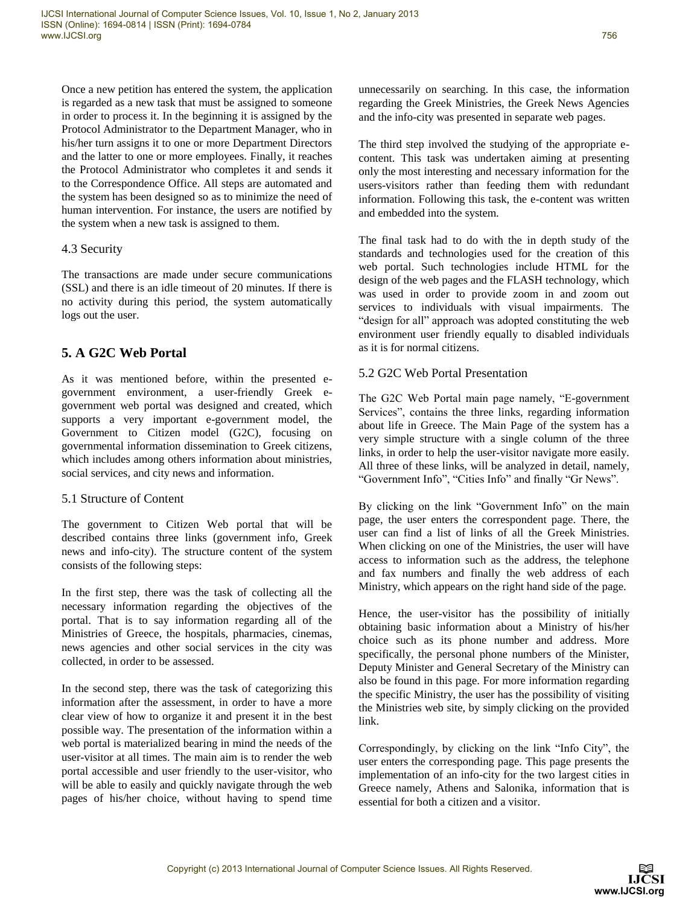Once a new petition has entered the system, the application is regarded as a new task that must be assigned to someone in order to process it. In the beginning it is assigned by the Protocol Administrator to the Department Manager, who in his/her turn assigns it to one or more Department Directors and the latter to one or more employees. Finally, it reaches the Protocol Administrator who completes it and sends it to the Correspondence Office. All steps are automated and the system has been designed so as to minimize the need of human intervention. For instance, the users are notified by the system when a new task is assigned to them.

#### 4.3 Security

The transactions are made under secure communications (SSL) and there is an idle timeout of 20 minutes. If there is no activity during this period, the system automatically logs out the user.

# **5. A G2C Web Portal**

As it was mentioned before, within the presented egovernment environment, a user-friendly Greek egovernment web portal was designed and created, which supports a very important e-government model, the Government to Citizen model (G2C), focusing on governmental information dissemination to Greek citizens, which includes among others information about ministries, social services, and city news and information.

#### 5.1 Structure of Content

The government to Citizen Web portal that will be described contains three links (government info, Greek news and info-city). The structure content of the system consists of the following steps:

In the first step, there was the task of collecting all the necessary information regarding the objectives of the portal. That is to say information regarding all of the Ministries of Greece, the hospitals, pharmacies, cinemas, news agencies and other social services in the city was collected, in order to be assessed.

In the second step, there was the task of categorizing this information after the assessment, in order to have a more clear view of how to organize it and present it in the best possible way. The presentation of the information within a web portal is materialized bearing in mind the needs of the user-visitor at all times. The main aim is to render the web portal accessible and user friendly to the user-visitor, who will be able to easily and quickly navigate through the web pages of his/her choice, without having to spend time unnecessarily on searching. In this case, the information regarding the Greek Ministries, the Greek News Agencies and the info-city was presented in separate web pages.

The third step involved the studying of the appropriate econtent. This task was undertaken aiming at presenting only the most interesting and necessary information for the users-visitors rather than feeding them with redundant information. Following this task, the e-content was written and embedded into the system.

The final task had to do with the in depth study of the standards and technologies used for the creation of this web portal. Such technologies include HTML for the design of the web pages and the FLASH technology, which was used in order to provide zoom in and zoom out services to individuals with visual impairments. The "design for all" approach was adopted constituting the web environment user friendly equally to disabled individuals as it is for normal citizens.

# 5.2 G2C Web Portal Presentation

The G2C Web Portal main page namely, "E-government Services", contains the three links, regarding information about life in Greece. The Main Page of the system has a very simple structure with a single column of the three links, in order to help the user-visitor navigate more easily. All three of these links, will be analyzed in detail, namely, "Government Info", "Cities Info" and finally "Gr News".

By clicking on the link "Government Info" on the main page, the user enters the correspondent page. There, the user can find a list of links of all the Greek Ministries. When clicking on one of the Ministries, the user will have access to information such as the address, the telephone and fax numbers and finally the web address of each Ministry, which appears on the right hand side of the page.

Hence, the user-visitor has the possibility of initially obtaining basic information about a Ministry of his/her choice such as its phone number and address. More specifically, the personal phone numbers of the Minister, Deputy Minister and General Secretary of the Ministry can also be found in this page. For more information regarding the specific Ministry, the user has the possibility of visiting the Ministries web site, by simply clicking on the provided link.

Correspondingly, by clicking on the link "Info City", the user enters the corresponding page. This page presents the implementation of an info-city for the two largest cities in Greece namely, Athens and Salonika, information that is essential for both a citizen and a visitor.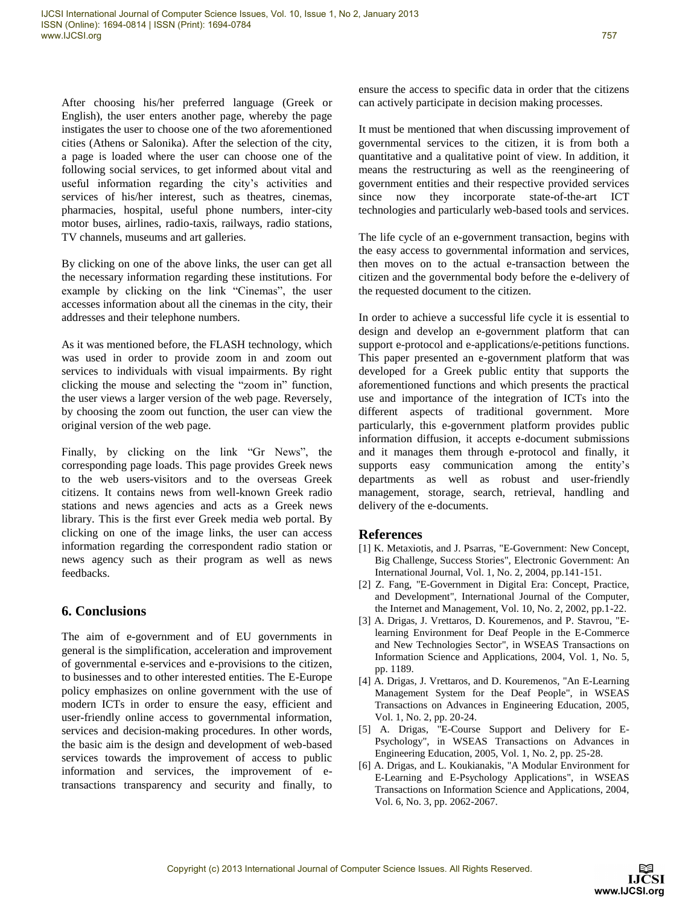After choosing his/her preferred language (Greek or English), the user enters another page, whereby the page instigates the user to choose one of the two aforementioned cities (Athens or Salonika). After the selection of the city, a page is loaded where the user can choose one of the following social services, to get informed about vital and useful information regarding the city's activities and services of his/her interest, such as theatres, cinemas, pharmacies, hospital, useful phone numbers, inter-city motor buses, airlines, radio-taxis, railways, radio stations, TV channels, museums and art galleries.

By clicking on one of the above links, the user can get all the necessary information regarding these institutions. For example by clicking on the link "Cinemas", the user accesses information about all the cinemas in the city, their addresses and their telephone numbers.

As it was mentioned before, the FLASH technology, which was used in order to provide zoom in and zoom out services to individuals with visual impairments. By right clicking the mouse and selecting the "zoom in" function, the user views a larger version of the web page. Reversely, by choosing the zoom out function, the user can view the original version of the web page.

Finally, by clicking on the link "Gr News", the corresponding page loads. This page provides Greek news to the web users-visitors and to the overseas Greek citizens. It contains news from well-known Greek radio stations and news agencies and acts as a Greek news library. This is the first ever Greek media web portal. By clicking on one of the image links, the user can access information regarding the correspondent radio station or news agency such as their program as well as news feedbacks.

# **6. Conclusions**

The aim of e-government and of EU governments in general is the simplification, acceleration and improvement of governmental e-services and e-provisions to the citizen, to businesses and to other interested entities. The E-Europe policy emphasizes on online government with the use of modern ICTs in order to ensure the easy, efficient and user-friendly online access to governmental information, services and decision-making procedures. In other words, the basic aim is the design and development of web-based services towards the improvement of access to public information and services, the improvement of etransactions transparency and security and finally, to

ensure the access to specific data in order that the citizens can actively participate in decision making processes.

It must be mentioned that when discussing improvement of governmental services to the citizen, it is from both a quantitative and a qualitative point of view. In addition, it means the restructuring as well as the reengineering of government entities and their respective provided services since now they incorporate state-of-the-art ICT technologies and particularly web-based tools and services.

The life cycle of an e-government transaction, begins with the easy access to governmental information and services, then moves on to the actual e-transaction between the citizen and the governmental body before the e-delivery of the requested document to the citizen.

In order to achieve a successful life cycle it is essential to design and develop an e-government platform that can support e-protocol and e-applications/e-petitions functions. This paper presented an e-government platform that was developed for a Greek public entity that supports the aforementioned functions and which presents the practical use and importance of the integration of ICTs into the different aspects of traditional government. More particularly, this e-government platform provides public information diffusion, it accepts e-document submissions and it manages them through e-protocol and finally, it supports easy communication among the entity's departments as well as robust and user-friendly management, storage, search, retrieval, handling and delivery of the e-documents.

#### **References**

- [1] K. Metaxiotis, and J. Psarras, "E-Government: New Concept, Big Challenge, Success Stories", Electronic Government: An International Journal, Vol. 1, No. 2, 2004, pp.141-151.
- [2] Z. Fang, "E-Government in Digital Era: Concept, Practice, and Development", International Journal of the Computer, the Internet and Management, Vol. 10, No. 2, 2002, pp.1-22.
- [3] A. Drigas, J. Vrettaros, D. Kouremenos, and P. Stavrou, "Elearning Environment for Deaf People in the E-Commerce and New Technologies Sector", in WSEAS Transactions on Information Science and Applications, 2004, Vol. 1, No. 5, pp. 1189.
- [4] A. Drigas, J. Vrettaros, and D. Kouremenos, "An E-Learning Management System for the Deaf People", in WSEAS Transactions on Advances in Engineering Education, 2005, Vol. 1, No. 2, pp. 20-24.
- [5] A. Drigas, "E-Course Support and Delivery for E-Psychology", in WSEAS Transactions on Advances in Engineering Education, 2005, Vol. 1, No. 2, pp. 25-28.
- [6] A. Drigas, and L. Koukianakis, "A Modular Environment for E-Learning and E-Psychology Applications", in WSEAS Transactions on Information Science and Applications, 2004, Vol. 6, No. 3, pp. 2062-2067.